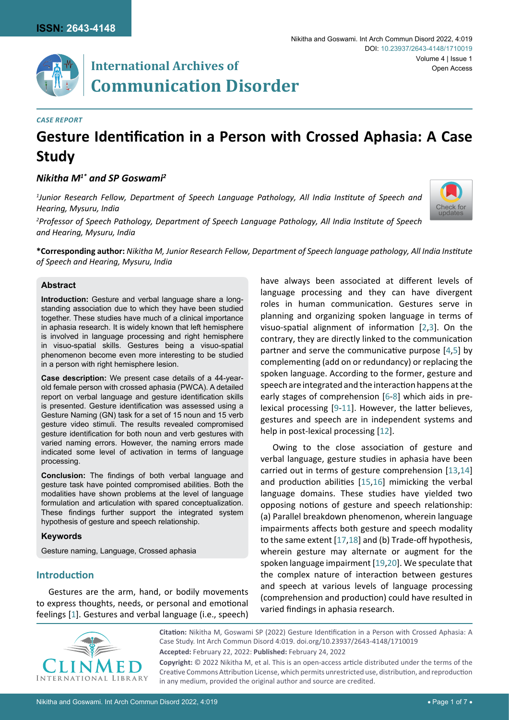

## **International Archives of Communication Disorder**

#### *Case Report*

# **Gesture Identification in a Person with Crossed Aphasia: A Case Study**

## *Nikitha M1\* and SP Goswami2*

*1 Junior Research Fellow, Department of Speech Language Pathology, All India Institute of Speech and Hearing, Mysuru, India*

*2 Professor of Speech Pathology, Department of Speech Language Pathology, All India Institute of Speech and Hearing, Mysuru, India*



**\*Corresponding author:** *Nikitha M, Junior Research Fellow, Department of Speech language pathology, All India Institute of Speech and Hearing, Mysuru, India*

#### **Abstract**

**Introduction:** Gesture and verbal language share a longstanding association due to which they have been studied together. These studies have much of a clinical importance in aphasia research. It is widely known that left hemisphere is involved in language processing and right hemisphere in visuo-spatial skills. Gestures being a visuo-spatial phenomenon become even more interesting to be studied in a person with right hemisphere lesion.

**Case description:** We present case details of a 44-yearold female person with crossed aphasia (PWCA). A detailed report on verbal language and gesture identification skills is presented. Gesture identification was assessed using a Gesture Naming (GN) task for a set of 15 noun and 15 verb gesture video stimuli. The results revealed compromised gesture identification for both noun and verb gestures with varied naming errors. However, the naming errors made indicated some level of activation in terms of language processing.

**Conclusion:** The findings of both verbal language and gesture task have pointed compromised abilities. Both the modalities have shown problems at the level of language formulation and articulation with spared conceptualization. These findings further support the integrated system hypothesis of gesture and speech relationship.

#### **Keywords**

Gesture naming, Language, Crossed aphasia

## **Introduction**

Gestures are the arm, hand, or bodily movements to express thoughts, needs, or personal and emotional feelings [\[1\]](#page-4-11). Gestures and verbal language (i.e., speech)

have always been associated at different levels of language processing and they can have divergent roles in human communication. Gestures serve in planning and organizing spoken language in terms of visuo-spatial alignment of information [[2](#page-4-0),[3\]](#page-4-1). On the contrary, they are directly linked to the communication partner and serve the communicative purpose [[4](#page-4-2)[,5](#page-4-3)] by complementing (add on or redundancy) or replacing the spoken language. According to the former, gesture and speech are integrated and the interaction happens at the early stages of comprehension [[6](#page-4-4)-[8](#page-4-5)] which aids in prelexical processing [[9](#page-4-6)-[11\]](#page-4-7). However, the latter believes, gestures and speech are in independent systems and help in post-lexical processing [\[12](#page-4-8)].

Owing to the close association of gesture and verbal language, gesture studies in aphasia have been carried out in terms of gesture comprehension [\[13](#page-4-9),[14](#page-4-10)] and production abilities [\[15](#page-5-0),[16](#page-5-1)] mimicking the verbal language domains. These studies have yielded two opposing notions of gesture and speech relationship: (a) Parallel breakdown phenomenon, wherein language impairments affects both gesture and speech modality to the same extent [\[17](#page-5-2),[18](#page-5-3)] and (b) Trade-off hypothesis, wherein gesture may alternate or augment for the spoken language impairment [\[19](#page-5-4)[,20](#page-5-5)]. We speculate that the complex nature of interaction between gestures and speech at various levels of language processing (comprehension and production) could have resulted in varied findings in aphasia research.



**Citation:** Nikitha M, Goswami SP (2022) Gesture Identification in a Person with Crossed Aphasia: A Case Study. Int Arch Commun Disord 4:019. [doi.org/10.23937/2643-4148/1710019](https://doi.org/10.23937/2643-4148/1710019) **Accepted:** February 22, 2022: **Published:** February 24, 2022

**Copyright:** © 2022 Nikitha M, et al. This is an open-access article distributed under the terms of the Creative Commons Attribution License, which permits unrestricted use, distribution, and reproduction in any medium, provided the original author and source are credited.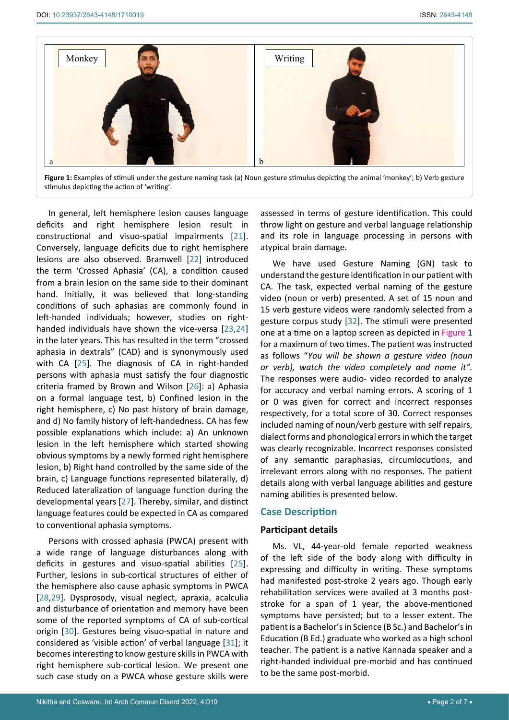

**Figure 1:** Examples of stimuli under the gesture naming task (a) Noun gesture stimulus depicting the animal 'monkey'; b) Verb gesture stimulus depicting the action of 'writing'.

In general, left hemisphere lesion causes language deficits and right hemisphere lesion result in constructional and visuo-spatial impairments [\[21](#page-5-6)]. Conversely, language deficits due to right hemisphere lesions are also observed. Bramwell [[22](#page-5-7)] introduced the term 'Crossed Aphasia' (CA), a condition caused from a brain lesion on the same side to their dominant hand. Initially, it was believed that long-standing conditions of such aphasias are commonly found in left-handed individuals; however, studies on righthanded individuals have shown the vice-versa [\[23](#page-5-8),[24](#page-5-9)] in the later years. This has resulted in the term "crossed aphasia in dextrals" (CAD) and is synonymously used with CA [[25](#page-5-10)]. The diagnosis of CA in right-handed persons with aphasia must satisfy the four diagnostic criteria framed by Brown and Wilson [\[26](#page-5-11)]: a) Aphasia on a formal language test, b) Confined lesion in the right hemisphere, c) No past history of brain damage, and d) No family history of left-handedness. CA has few possible explanations which include: a) An unknown lesion in the left hemisphere which started showing obvious symptoms by a newly formed right hemisphere lesion, b) Right hand controlled by the same side of the brain, c) Language functions represented bilaterally, d) Reduced lateralization of language function during the developmental years [[27](#page-5-12)]. Thereby, similar, and distinct language features could be expected in CA as compared to conventional aphasia symptoms.

Persons with crossed aphasia (PWCA) present with a wide range of language disturbances along with deficits in gestures and visuo-spatial abilities [[25](#page-5-10)]. Further, lesions in sub-cortical structures of either of the hemisphere also cause aphasic symptoms in PWCA [[28](#page-5-13),[29\]](#page-5-14). Dysprosody, visual neglect, apraxia, acalculia and disturbance of orientation and memory have been some of the reported symptoms of CA of sub-cortical origin [\[30](#page-5-15)]. Gestures being visuo-spatial in nature and considered as 'visible action' of verbal language [[31](#page-5-16)]; it becomes interesting to know gesture skills in PWCA with right hemisphere sub-cortical lesion. We present one such case study on a PWCA whose gesture skills were

assessed in terms of gesture identification. This could throw light on gesture and verbal language relationship and its role in language processing in persons with atypical brain damage.

We have used Gesture Naming (GN) task to understand the gesture identification in our patient with CA. The task, expected verbal naming of the gesture video (noun or verb) presented. A set of 15 noun and 15 verb gesture videos were randomly selected from a gesture corpus study [[32\]](#page-5-17). The stimuli were presented one at a time on a laptop screen as depicted in Figure 1 for a maximum of two times. The patient was instructed as follows "*You will be shown a gesture video (noun or verb), watch the video completely and name it".* The responses were audio- video recorded to analyze for accuracy and verbal naming errors. A scoring of 1 or 0 was given for correct and incorrect responses respectively, for a total score of 30. Correct responses included naming of noun/verb gesture with self repairs, dialect forms and phonological errors in which the target was clearly recognizable. Incorrect responses consisted of any semantic paraphasias, circumlocutions, and irrelevant errors along with no responses. The patient details along with verbal language abilities and gesture naming abilities is presented below.

## **Case Description**

#### **Participant details**

Ms. VL, 44-year-old female reported weakness of the left side of the body along with difficulty in expressing and difficulty in writing. These symptoms had manifested post-stroke 2 years ago. Though early rehabilitation services were availed at 3 months poststroke for a span of 1 year, the above-mentioned symptoms have persisted; but to a lesser extent. The patient is a Bachelor's in Science (B Sc.) and Bachelor's in Education (B Ed.) graduate who worked as a high school teacher. The patient is a native Kannada speaker and a right-handed individual pre-morbid and has continued to be the same post-morbid.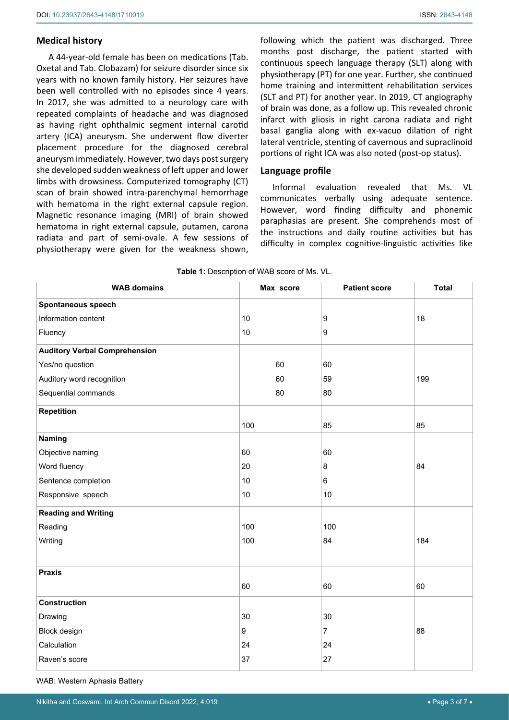#### **Medical history**

A 44-year-old female has been on medications (Tab. Oxetal and Tab. Clobazam) for seizure disorder since six years with no known family history. Her seizures have been well controlled with no episodes since 4 years. In 2017, she was admitted to a neurology care with repeated complaints of headache and was diagnosed as having right ophthalmic segment internal carotid artery (ICA) aneurysm. She underwent flow diverter placement procedure for the diagnosed cerebral aneurysm immediately. However, two days post surgery she developed sudden weakness of left upper and lower limbs with drowsiness. Computerized tomography (CT) scan of brain showed intra-parenchymal hemorrhage with hematoma in the right external capsule region. Magnetic resonance imaging (MRI) of brain showed hematoma in right external capsule, putamen, carona radiata and part of semi-ovale. A few sessions of physiotherapy were given for the weakness shown,

following which the patient was discharged. Three months post discharge, the patient started with continuous speech language therapy (SLT) along with physiotherapy (PT) for one year. Further, she continued home training and intermittent rehabilitation services (SLT and PT) for another year. In 2019, CT angiography of brain was done, as a follow up. This revealed chronic infarct with gliosis in right carona radiata and right basal ganglia along with ex-vacuo dilation of right lateral ventricle, stenting of cavernous and supraclinoid portions of right ICA was also noted (post-op status).

#### **Language profile**

Informal evaluation revealed that Ms. VL communicates verbally using adequate sentence. However, word finding difficulty and phonemic paraphasias are present. She comprehends most of the instructions and daily routine activities but has difficulty in complex cognitive-linguistic activities like

| <b>TWIC</b> I. Description of WWD score of MS. VE. |           |                      |              |  |  |  |
|----------------------------------------------------|-----------|----------------------|--------------|--|--|--|
| <b>WAB domains</b>                                 | Max score | <b>Patient score</b> | <b>Total</b> |  |  |  |
| <b>Spontaneous speech</b>                          |           |                      |              |  |  |  |
| Information content                                | 10        | 9                    | 18           |  |  |  |
| Fluency                                            | 10        | $\boldsymbol{9}$     |              |  |  |  |
| <b>Auditory Verbal Comprehension</b>               |           |                      |              |  |  |  |
| Yes/no question                                    | 60        | 60                   |              |  |  |  |
| Auditory word recognition                          | 60        | 59                   | 199          |  |  |  |
| Sequential commands                                | 80        | 80                   |              |  |  |  |
| <b>Repetition</b>                                  |           |                      |              |  |  |  |
|                                                    | 100       | 85                   | 85           |  |  |  |
| Naming                                             |           |                      |              |  |  |  |
| Objective naming                                   | 60        | 60                   |              |  |  |  |
| Word fluency                                       | 20        | 8                    | 84           |  |  |  |
| Sentence completion                                | 10        | 6                    |              |  |  |  |
| Responsive speech                                  | 10        | $10$                 |              |  |  |  |
| <b>Reading and Writing</b>                         |           |                      |              |  |  |  |
| Reading                                            | 100       | 100                  |              |  |  |  |
| Writing                                            | 100       | 84                   | 184          |  |  |  |
|                                                    |           |                      |              |  |  |  |
| <b>Praxis</b>                                      |           |                      |              |  |  |  |
|                                                    | 60        | 60                   | 60           |  |  |  |
| <b>Construction</b>                                |           |                      |              |  |  |  |
| Drawing                                            | $30\,$    | $30\,$               |              |  |  |  |
| Block design                                       | 9         | $\overline{7}$       | 88           |  |  |  |
| Calculation                                        | 24        | 24                   |              |  |  |  |
| Raven's score                                      | 37        | 27                   |              |  |  |  |
|                                                    |           |                      |              |  |  |  |

**Table 1:** Description of WAB score of Ms. VI

WAB: Western Aphasia Battery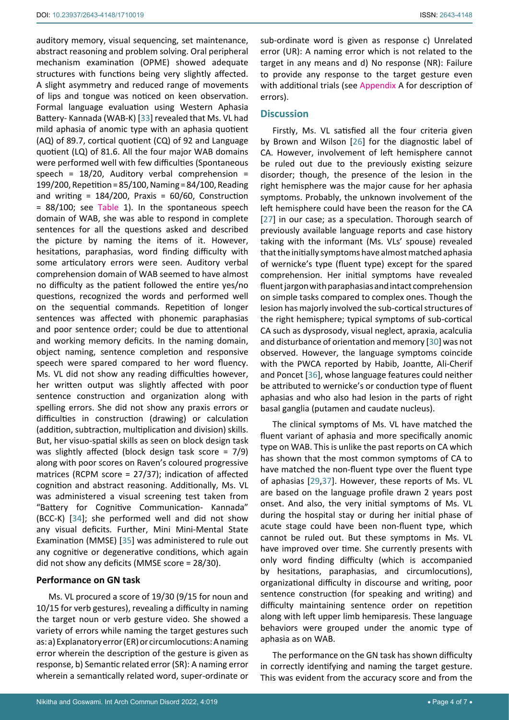auditory memory, visual sequencing, set maintenance, abstract reasoning and problem solving. Oral peripheral mechanism examination (OPME) showed adequate structures with functions being very slightly affected. A slight asymmetry and reduced range of movements of lips and tongue was noticed on keen observation. Formal language evaluation using Western Aphasia Battery- Kannada (WAB-K) [[33\]](#page-5-20) revealed that Ms. VL had mild aphasia of anomic type with an aphasia quotient (AQ) of 89.7, cortical quotient (CQ) of 92 and Language quotient (LQ) of 81.6. All the four major WAB domains were performed well with few difficulties (Spontaneous speech =  $18/20$ , Auditory verbal comprehension = 199/200, Repetition = 85/100, Naming = 84/100, Reading and writing =  $184/200$ , Praxis =  $60/60$ , Construction = 88/100; see Table 1). In the spontaneous speech domain of WAB, she was able to respond in complete sentences for all the questions asked and described the picture by naming the items of it. However, hesitations, paraphasias, word finding difficulty with some articulatory errors were seen. Auditory verbal comprehension domain of WAB seemed to have almost no difficulty as the patient followed the entire yes/no questions, recognized the words and performed well on the sequential commands. Repetition of longer sentences was affected with phonemic paraphasias and poor sentence order; could be due to attentional and working memory deficits. In the naming domain, object naming, sentence completion and responsive speech were spared compared to her word fluency. Ms. VL did not show any reading difficulties however, her written output was slightly affected with poor sentence construction and organization along with spelling errors. She did not show any praxis errors or difficulties in construction (drawing) or calculation (addition, subtraction, multiplication and division) skills. But, her visuo-spatial skills as seen on block design task was slightly affected (block design task score = 7/9) along with poor scores on Raven's coloured progressive matrices (RCPM score = 27/37); indication of affected cognition and abstract reasoning. Additionally, Ms. VL was administered a visual screening test taken from "Battery for Cognitive Communication- Kannada" (BCC-K) [[34\]](#page-5-21); she performed well and did not show any visual deficits. Further, Mini Mini-Mental State Examination (MMSE) [[35](#page-5-22)] was administered to rule out any cognitive or degenerative conditions, which again did not show any deficits (MMSE score = 28/30).

## **Performance on GN task**

Ms. VL procured a score of 19/30 (9/15 for noun and 10/15 for verb gestures), revealing a difficulty in naming the target noun or verb gesture video. She showed a variety of errors while naming the target gestures such as: a) Explanatory error (ER) or circumlocutions: A naming error wherein the description of the gesture is given as response, b) Semantic related error (SR): A naming error wherein a semantically related word, super-ordinate or sub-ordinate word is given as response c) Unrelated error (UR): A naming error which is not related to the target in any means and d) No response (NR): Failure to provide any response to the target gesture even with additional trials (see Appendix A for description of errors).

## **Discussion**

Firstly, Ms. VL satisfied all the four criteria given by Brown and Wilson [[26\]](#page-5-11) for the diagnostic label of CA. However, involvement of left hemisphere cannot be ruled out due to the previously existing seizure disorder; though, the presence of the lesion in the right hemisphere was the major cause for her aphasia symptoms. Probably, the unknown involvement of the left hemisphere could have been the reason for the CA [\[27](#page-5-12)] in our case; as a speculation. Thorough search of previously available language reports and case history taking with the informant (Ms. VLs' spouse) revealed that the initially symptoms have almost matched aphasia of wernicke's type (fluent type) except for the spared comprehension. Her initial symptoms have revealed fluent jargon with paraphasias and intact comprehension on simple tasks compared to complex ones. Though the lesion has majorly involved the sub-cortical structures of the right hemisphere; typical symptoms of sub-cortical CA such as dysprosody, visual neglect, apraxia, acalculia and disturbance of orientation and memory [\[30](#page-5-15)] was not observed. However, the language symptoms coincide with the PWCA reported by Habib, Joantte, Ali-Cherif and Poncet [\[36\]](#page-5-18), whose language features could neither be attributed to wernicke's or conduction type of fluent aphasias and who also had lesion in the parts of right basal ganglia (putamen and caudate nucleus).

The clinical symptoms of Ms. VL have matched the fluent variant of aphasia and more specifically anomic type on WAB. This is unlike the past reports on CA which has shown that the most common symptoms of CA to have matched the non-fluent type over the fluent type of aphasias [[29](#page-5-14),[37](#page-5-19)]. However, these reports of Ms. VL are based on the language profile drawn 2 years post onset. And also, the very initial symptoms of Ms. VL during the hospital stay or during her initial phase of acute stage could have been non-fluent type, which cannot be ruled out. But these symptoms in Ms. VL have improved over time. She currently presents with only word finding difficulty (which is accompanied by hesitations, paraphasias, and circumlocutions), organizational difficulty in discourse and writing, poor sentence construction (for speaking and writing) and difficulty maintaining sentence order on repetition along with left upper limb hemiparesis. These language behaviors were grouped under the anomic type of aphasia as on WAB.

The performance on the GN task has shown difficulty in correctly identifying and naming the target gesture. This was evident from the accuracy score and from the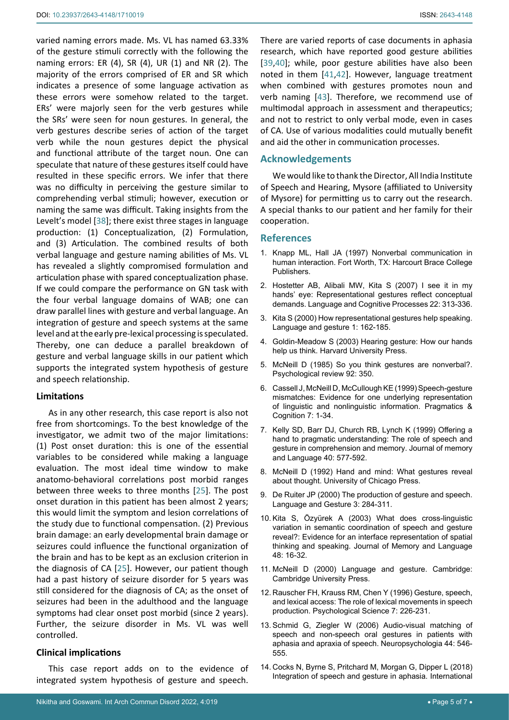varied naming errors made. Ms. VL has named 63.33% of the gesture stimuli correctly with the following the naming errors: ER (4), SR (4), UR (1) and NR (2). The majority of the errors comprised of ER and SR which indicates a presence of some language activation as these errors were somehow related to the target. ERs' were majorly seen for the verb gestures while the SRs' were seen for noun gestures. In general, the verb gestures describe series of action of the target verb while the noun gestures depict the physical and functional attribute of the target noun. One can speculate that nature of these gestures itself could have resulted in these specific errors. We infer that there was no difficulty in perceiving the gesture similar to comprehending verbal stimuli; however, execution or naming the same was difficult. Taking insights from the Levelt's model [[38\]](#page-5-28); there exist three stages in language production: (1) Conceptualization, (2) Formulation, and (3) Articulation. The combined results of both verbal language and gesture naming abilities of Ms. VL has revealed a slightly compromised formulation and articulation phase with spared conceptualization phase. If we could compare the performance on GN task with the four verbal language domains of WAB; one can draw parallel lines with gesture and verbal language. An integration of gesture and speech systems at the same level and at the early pre-lexical processing is speculated. Thereby, one can deduce a parallel breakdown of gesture and verbal language skills in our patient which supports the integrated system hypothesis of gesture and speech relationship.

#### **Limitations**

As in any other research, this case report is also not free from shortcomings. To the best knowledge of the investigator, we admit two of the major limitations: (1) Post onset duration: this is one of the essential variables to be considered while making a language evaluation. The most ideal time window to make anatomo-behavioral correlations post morbid ranges between three weeks to three months [[25](#page-5-10)]. The post onset duration in this patient has been almost 2 years; this would limit the symptom and lesion correlations of the study due to functional compensation. (2) Previous brain damage: an early developmental brain damage or seizures could influence the functional organization of the brain and has to be kept as an exclusion criterion in the diagnosis of CA [[25](#page-5-10)]. However, our patient though had a past history of seizure disorder for 5 years was still considered for the diagnosis of CA; as the onset of seizures had been in the adulthood and the language symptoms had clear onset post morbid (since 2 years). Further, the seizure disorder in Ms. VL was well controlled.

#### **Clinical implications**

This case report adds on to the evidence of integrated system hypothesis of gesture and speech.

There are varied reports of case documents in aphasia research, which have reported good gesture abilities [\[39](#page-5-23),[40](#page-5-24)]; while, poor gesture abilities have also been noted in them [[41](#page-5-25),[42\]](#page-5-26). However, language treatment when combined with gestures promotes noun and verb naming [\[43](#page-5-27)]. Therefore, we recommend use of multimodal approach in assessment and therapeutics; and not to restrict to only verbal mode, even in cases of CA. Use of various modalities could mutually benefit and aid the other in communication processes.

#### **Acknowledgements**

We would like to thank the Director, All India Institute of Speech and Hearing, Mysore (affiliated to University of Mysore) for permitting us to carry out the research. A special thanks to our patient and her family for their cooperation.

#### **References**

- <span id="page-4-11"></span>1. [Knapp ML, Hall JA \(1997\) Nonverbal communication in](https://www.worldcat.org/title/nonverbal-communication-in-human-interaction/oclc/37662782)  [human interaction. Fort Worth, TX: Harcourt Brace College](https://www.worldcat.org/title/nonverbal-communication-in-human-interaction/oclc/37662782)  [Publishers.](https://www.worldcat.org/title/nonverbal-communication-in-human-interaction/oclc/37662782)
- <span id="page-4-0"></span>2. [Hostetter AB, Alibali MW, Kita S \(2007\) I see it in my](https://psycnet.apa.org/record/2007-06277-001)  [hands' eye: Representational gestures reflect conceptual](https://psycnet.apa.org/record/2007-06277-001)  [demands. Language and Cognitive Processes 22: 313-336.](https://psycnet.apa.org/record/2007-06277-001)
- <span id="page-4-1"></span>3. [Kita S \(2000\) How representational gestures help speaking.](https://www.semanticscholar.org/paper/How-representational-gestures-help-speaking-Kita/eaed8637217196b4d1ca06a466017a6f1cebecae)  [Language and gesture 1: 162-185.](https://www.semanticscholar.org/paper/How-representational-gestures-help-speaking-Kita/eaed8637217196b4d1ca06a466017a6f1cebecae)
- <span id="page-4-2"></span>4. [Goldin-Meadow S \(2003\) Hearing gesture: How our hands](https://www.hup.harvard.edu/catalog.php?isbn=9780674018372)  [help us think. Harvard University Press.](https://www.hup.harvard.edu/catalog.php?isbn=9780674018372)
- <span id="page-4-3"></span>5. [McNeill D \(1985\) So you think gestures are nonverbal?.](https://psycnet.apa.org/record/1985-30454-001)  [Psychological review 92: 350.](https://psycnet.apa.org/record/1985-30454-001)
- <span id="page-4-4"></span>6. [Cassell J, McNeill D, McCullough KE \(1999\) Speech-gesture](https://www.researchgate.net/publication/215439325_Speech-Gesture_Mismatches_Evidence_for_One_Underlying_Representation_of_Linguistic_and_Nonlinguistic_Information)  [mismatches: Evidence for one underlying representation](https://www.researchgate.net/publication/215439325_Speech-Gesture_Mismatches_Evidence_for_One_Underlying_Representation_of_Linguistic_and_Nonlinguistic_Information)  [of linguistic and nonlinguistic information. Pragmatics &](https://www.researchgate.net/publication/215439325_Speech-Gesture_Mismatches_Evidence_for_One_Underlying_Representation_of_Linguistic_and_Nonlinguistic_Information)  [Cognition 7: 1-34.](https://www.researchgate.net/publication/215439325_Speech-Gesture_Mismatches_Evidence_for_One_Underlying_Representation_of_Linguistic_and_Nonlinguistic_Information)
- 7. [Kelly SD, Barr DJ, Church RB, Lynch K \(1999\) Offering a](https://psycnet.apa.org/record/1999-05604-007)  [hand to pragmatic understanding: The role of speech and](https://psycnet.apa.org/record/1999-05604-007)  [gesture in comprehension and memory. Journal of memory](https://psycnet.apa.org/record/1999-05604-007)  [and Language 40: 577-592.](https://psycnet.apa.org/record/1999-05604-007)
- <span id="page-4-5"></span>8. [McNeill D \(1992\) Hand and mind: What gestures reveal](https://press.uchicago.edu/ucp/books/book/chicago/H/bo3641188.html)  [about thought. University of Chicago Press.](https://press.uchicago.edu/ucp/books/book/chicago/H/bo3641188.html)
- <span id="page-4-6"></span>9. [De Ruiter JP \(2000\) The production of gesture and speech.](https://sites.tufts.edu/hilab/2019/11/08/de-ruiter-j-p-2000-the-production-of-gesture-and-speech-in-mcneill-d-ed-language-and-gesture-pp-248-311-cambridge-cambridge-university-press/)  [Language and Gesture 3: 284-311.](https://sites.tufts.edu/hilab/2019/11/08/de-ruiter-j-p-2000-the-production-of-gesture-and-speech-in-mcneill-d-ed-language-and-gesture-pp-248-311-cambridge-cambridge-university-press/)
- 10. [Kita S, Özyürek A \(2003\) What does cross-linguistic](https://www.researchgate.net/publication/222562774_What_does_cross-linguistic_variation_in_semantic_co-ordination_of_speech_and_gesture_reveal_Evidence_of_an_interface_representation_of_spatial_thinking_and_speaking)  [variation in semantic coordination of speech and gesture](https://www.researchgate.net/publication/222562774_What_does_cross-linguistic_variation_in_semantic_co-ordination_of_speech_and_gesture_reveal_Evidence_of_an_interface_representation_of_spatial_thinking_and_speaking)  [reveal?: Evidence for an interface representation of spatial](https://www.researchgate.net/publication/222562774_What_does_cross-linguistic_variation_in_semantic_co-ordination_of_speech_and_gesture_reveal_Evidence_of_an_interface_representation_of_spatial_thinking_and_speaking)  [thinking and speaking. Journal of Memory and Language](https://www.researchgate.net/publication/222562774_What_does_cross-linguistic_variation_in_semantic_co-ordination_of_speech_and_gesture_reveal_Evidence_of_an_interface_representation_of_spatial_thinking_and_speaking)  [48: 16-32.](https://www.researchgate.net/publication/222562774_What_does_cross-linguistic_variation_in_semantic_co-ordination_of_speech_and_gesture_reveal_Evidence_of_an_interface_representation_of_spatial_thinking_and_speaking)
- <span id="page-4-7"></span>11. [McNeill D \(2000\) Language and gesture. Cambridge:](https://www.researchgate.net/publication/270819631_Language_and_Gesture)  [Cambridge University Press.](https://www.researchgate.net/publication/270819631_Language_and_Gesture)
- <span id="page-4-8"></span>12. [Rauscher FH, Krauss RM, Chen Y \(1996\) Gesture, speech,](https://citeseerx.ist.psu.edu/viewdoc/download?doi=10.1.1.211.7479&rep=rep1&type=pdf)  [and lexical access: The role of lexical movements in speech](https://citeseerx.ist.psu.edu/viewdoc/download?doi=10.1.1.211.7479&rep=rep1&type=pdf)  [production. Psychological Science 7: 226-231.](https://citeseerx.ist.psu.edu/viewdoc/download?doi=10.1.1.211.7479&rep=rep1&type=pdf)
- <span id="page-4-9"></span>13. [Schmid G, Ziegler W \(2006\) Audio-visual matching of](https://pubmed.ncbi.nlm.nih.gov/16129459/)  [speech and non-speech oral gestures in patients with](https://pubmed.ncbi.nlm.nih.gov/16129459/)  [aphasia and apraxia of speech. Neuropsychologia 44: 546-](https://pubmed.ncbi.nlm.nih.gov/16129459/) [555.](https://pubmed.ncbi.nlm.nih.gov/16129459/)
- <span id="page-4-10"></span>14. [Cocks N, Byrne S, Pritchard M, Morgan G, Dipper L \(2018\)](https://pubmed.ncbi.nlm.nih.gov/29411476/)  [Integration of speech and gesture in aphasia. International](https://pubmed.ncbi.nlm.nih.gov/29411476/)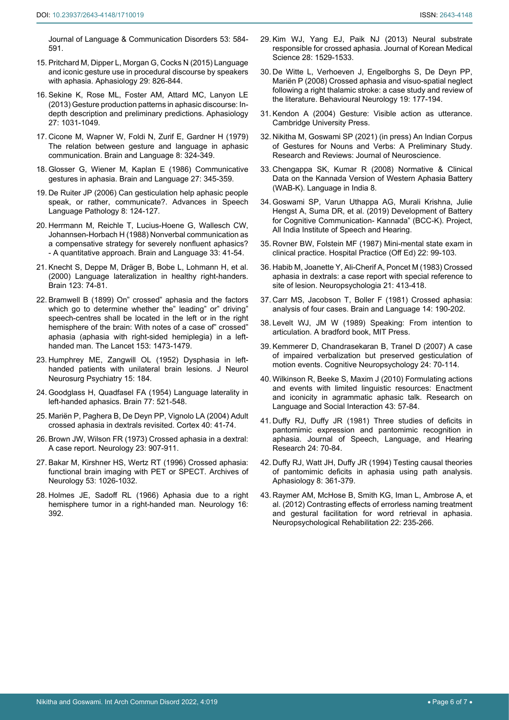[Journal of Language & Communication Disorders 53: 584-](https://pubmed.ncbi.nlm.nih.gov/29411476/) [591.](https://pubmed.ncbi.nlm.nih.gov/29411476/)

- <span id="page-5-0"></span>15. [Pritchard M, Dipper L, Morgan G, Cocks N \(2015\) Language](https://www.ncbi.nlm.nih.gov/pmc/articles/PMC4409036/)  [and iconic gesture use in procedural discourse by speakers](https://www.ncbi.nlm.nih.gov/pmc/articles/PMC4409036/)  [with aphasia. Aphasiology 29: 826-844.](https://www.ncbi.nlm.nih.gov/pmc/articles/PMC4409036/)
- <span id="page-5-1"></span>16. [Sekine K, Rose ML, Foster AM, Attard MC, Lanyon LE](https://www.tandfonline.com/doi/abs/10.1080/02687038.2013.803017)  [\(2013\) Gesture production patterns in aphasic discourse: In](https://www.tandfonline.com/doi/abs/10.1080/02687038.2013.803017)[depth description and preliminary predictions. Aphasiology](https://www.tandfonline.com/doi/abs/10.1080/02687038.2013.803017)  [27: 1031-1049.](https://www.tandfonline.com/doi/abs/10.1080/02687038.2013.803017)
- <span id="page-5-2"></span>17. [Cicone M, Wapner W, Foldi N, Zurif E, Gardner H \(1979\)](https://pubmed.ncbi.nlm.nih.gov/509202/)  [The relation between gesture and language in aphasic](https://pubmed.ncbi.nlm.nih.gov/509202/)  [communication. Brain and Language 8: 324-349.](https://pubmed.ncbi.nlm.nih.gov/509202/)
- <span id="page-5-3"></span>18. [Glosser G, Wiener M, Kaplan E \(1986\) Communicative](https://pubmed.ncbi.nlm.nih.gov/2420412/)  [gestures in aphasia. Brain and Language 27: 345-359.](https://pubmed.ncbi.nlm.nih.gov/2420412/)
- <span id="page-5-4"></span>19. De Ruiter JP (2006) Can gesticulation help aphasic people speak, or rather, communicate?. Advances in Speech Language Pathology 8: 124-127.
- <span id="page-5-5"></span>20. [Herrmann M, Reichle T, Lucius-Hoene G, Wallesch CW,](https://europepmc.org/article/med/3342320)  [Johannsen-Horbach H \(1988\) Nonverbal communication as](https://europepmc.org/article/med/3342320)  [a compensative strategy for severely nonfluent aphasics?](https://europepmc.org/article/med/3342320)  [- A quantitative approach. Brain and Language 33: 41-54.](https://europepmc.org/article/med/3342320)
- <span id="page-5-6"></span>21. [Knecht S, Deppe M, Dräger B, Bobe L, Lohmann H, et al.](https://pubmed.ncbi.nlm.nih.gov/10611122/)  [\(2000\) Language lateralization in healthy right-handers.](https://pubmed.ncbi.nlm.nih.gov/10611122/)  [Brain 123: 74-81.](https://pubmed.ncbi.nlm.nih.gov/10611122/)
- <span id="page-5-7"></span>22. Bramwell B (1899) On" crossed" aphasia and the factors which go to determine whether the" leading" or" driving" speech-centres shall be located in the left or in the right hemisphere of the brain: With notes of a case of" crossed" aphasia (aphasia with right-sided hemiplegia) in a lefthanded man. The Lancet 153: 1473-1479.
- <span id="page-5-8"></span>23. [Humphrey ME, Zangwill OL \(1952\) Dysphasia in left](https://www.ncbi.nlm.nih.gov/pmc/articles/PMC499595/)[handed patients with unilateral brain lesions. J Neurol](https://www.ncbi.nlm.nih.gov/pmc/articles/PMC499595/)  [Neurosurg Psychiatry 15: 184.](https://www.ncbi.nlm.nih.gov/pmc/articles/PMC499595/)
- <span id="page-5-9"></span>24. [Goodglass H, Quadfasel FA \(1954\) Language laterality in](https://pubmed.ncbi.nlm.nih.gov/13230290/)  [left-handed aphasics. Brain 77: 521-548.](https://pubmed.ncbi.nlm.nih.gov/13230290/)
- <span id="page-5-10"></span>25. [Mariën P, Paghera B, De Deyn PP, Vignolo LA \(2004\) Adult](https://www.researchgate.net/publication/8631709_Adult_Crossed_Aphasia_in_Dextrals_Revisited)  [crossed aphasia in dextrals revisited. Cortex 40: 41-74.](https://www.researchgate.net/publication/8631709_Adult_Crossed_Aphasia_in_Dextrals_Revisited)
- <span id="page-5-11"></span>26. [Brown JW, Wilson FR \(1973\) Crossed aphasia in a dextral:](https://pubmed.ncbi.nlm.nih.gov/4737683/)  [A case report. Neurology 23: 907-911.](https://pubmed.ncbi.nlm.nih.gov/4737683/)
- <span id="page-5-12"></span>27. [Bakar M, Kirshner HS, Wertz RT \(1996\) Crossed aphasia:](https://pubmed.ncbi.nlm.nih.gov/8859065/)  [functional brain imaging with PET or SPECT. Archives of](https://pubmed.ncbi.nlm.nih.gov/8859065/)  [Neurology 53: 1026-1032.](https://pubmed.ncbi.nlm.nih.gov/8859065/)
- <span id="page-5-13"></span>28. [Holmes JE, Sadoff RL \(1966\) Aphasia due to a right](https://n.neurology.org/content/16/4/392)  [hemisphere tumor in a right-handed man. Neurology 16:](https://n.neurology.org/content/16/4/392)  [392.](https://n.neurology.org/content/16/4/392)
- <span id="page-5-14"></span>29. [Kim WJ, Yang EJ, Paik NJ \(2013\) Neural substrate](https://www.ncbi.nlm.nih.gov/pmc/articles/PMC3792610/)  [responsible for crossed aphasia. Journal of Korean Medical](https://www.ncbi.nlm.nih.gov/pmc/articles/PMC3792610/)  [Science 28: 1529-1533.](https://www.ncbi.nlm.nih.gov/pmc/articles/PMC3792610/)
- <span id="page-5-15"></span>30. [De Witte L, Verhoeven J, Engelborghs S, De Deyn PP,](https://pubmed.ncbi.nlm.nih.gov/19096142/)  [Mariën P \(2008\) Crossed aphasia and visuo-spatial neglect](https://pubmed.ncbi.nlm.nih.gov/19096142/)  [following a right thalamic stroke: a case study and review of](https://pubmed.ncbi.nlm.nih.gov/19096142/)  [the literature. Behavioural Neurology 19: 177-194.](https://pubmed.ncbi.nlm.nih.gov/19096142/)
- <span id="page-5-16"></span>31. Kendon A (2004) Gesture: Visible action as utterance. Cambridge University Press.
- <span id="page-5-17"></span>32. Nikitha M, Goswami SP (2021) (in press) An Indian Corpus of Gestures for Nouns and Verbs: A Preliminary Study. Research and Reviews: Journal of Neuroscience.
- <span id="page-5-20"></span>33. Chengappa SK, Kumar R (2008) Normative & Clinical Data on the Kannada Version of Western Aphasia Battery (WAB-K). Language in India 8.
- <span id="page-5-21"></span>34. Goswami SP, Varun Uthappa AG, Murali Krishna, Julie Hengst A, Suma DR, et al. (2019) Development of Battery for Cognitive Communication- Kannada" (BCC-K). Project, All India Institute of Speech and Hearing.
- <span id="page-5-22"></span>35. [Rovner BW, Folstein MF \(1987\) Mini-mental state exam in](https://pubmed.ncbi.nlm.nih.gov/3100557/)  [clinical practice. Hospital Practice \(Off Ed\) 22: 99-103.](https://pubmed.ncbi.nlm.nih.gov/3100557/)
- <span id="page-5-18"></span>36. [Habib M, Joanette Y, Ali-Cherif A, Poncet M \(1983\) Crossed](https://pubmed.ncbi.nlm.nih.gov/6621871/)  [aphasia in dextrals: a case report with special reference to](https://pubmed.ncbi.nlm.nih.gov/6621871/)  [site of lesion. Neuropsychologia 21: 413-418.](https://pubmed.ncbi.nlm.nih.gov/6621871/)
- <span id="page-5-19"></span>37. Carr MS, Jacobson T, Boller F (1981) Crossed aphasia: analysis of four cases. Brain and Language 14: 190-202.
- <span id="page-5-28"></span>38. [Levelt WJ, JM W \(1989\) Speaking: From intention to](https://mitpress.mit.edu/books/speaking)  [articulation. A bradford book, MIT Press.](https://mitpress.mit.edu/books/speaking)
- <span id="page-5-23"></span>39. [Kemmerer D, Chandrasekaran B, Tranel D \(2007\) A case](https://pubmed.ncbi.nlm.nih.gov/18386190/)  [of impaired verbalization but preserved gesticulation of](https://pubmed.ncbi.nlm.nih.gov/18386190/)  [motion events. Cognitive Neuropsychology 24: 70-114.](https://pubmed.ncbi.nlm.nih.gov/18386190/)
- <span id="page-5-24"></span>40. [Wilkinson R, Beeke S, Maxim J \(2010\) Formulating actions](https://www.tandfonline.com/doi/abs/10.1080/08351810903471506)  [and events with limited linguistic resources: Enactment](https://www.tandfonline.com/doi/abs/10.1080/08351810903471506)  [and iconicity in agrammatic aphasic talk. Research on](https://www.tandfonline.com/doi/abs/10.1080/08351810903471506)  [Language and Social Interaction 43: 57-84.](https://www.tandfonline.com/doi/abs/10.1080/08351810903471506)
- <span id="page-5-25"></span>41. [Duffy RJ, Duffy JR \(1981\) Three studies of deficits in](https://pubmed.ncbi.nlm.nih.gov/7253632/)  [pantomimic expression and pantomimic recognition in](https://pubmed.ncbi.nlm.nih.gov/7253632/)  [aphasia. Journal of Speech, Language, and Hearing](https://pubmed.ncbi.nlm.nih.gov/7253632/)  [Research 24: 70-84.](https://pubmed.ncbi.nlm.nih.gov/7253632/)
- <span id="page-5-26"></span>42. [Duffy RJ, Watt JH, Duffy JR \(1994\) Testing causal theories](https://www.tandfonline.com/doi/abs/10.1080/02687039408248665)  [of pantomimic deficits in aphasia using path analysis.](https://www.tandfonline.com/doi/abs/10.1080/02687039408248665)  [Aphasiology 8: 361-379.](https://www.tandfonline.com/doi/abs/10.1080/02687039408248665)
- <span id="page-5-27"></span>43. [Raymer AM, McHose B, Smith KG, Iman L, Ambrose A, et](https://pubmed.ncbi.nlm.nih.gov/22047100/)  [al. \(2012\) Contrasting effects of errorless naming treatment](https://pubmed.ncbi.nlm.nih.gov/22047100/)  [and gestural facilitation for word retrieval in aphasia.](https://pubmed.ncbi.nlm.nih.gov/22047100/)  [Neuropsychological Rehabilitation 22: 235-266.](https://pubmed.ncbi.nlm.nih.gov/22047100/)